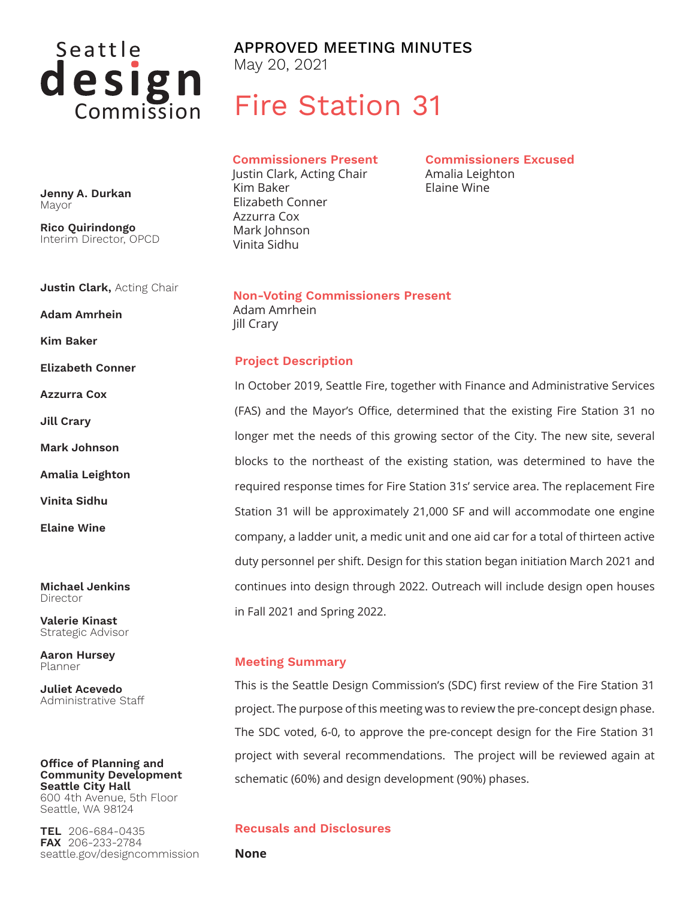

APPROVED MEETING MINUTES May 20, 2021

# Fire Station 31

**Commissioners Present** Justin Clark, Acting Chair Kim Baker Elizabeth Conner

Azzurra Cox Mark Johnson Vinita Sidhu

**Commissioners Excused** Amalia Leighton Elaine Wine

**Non-Voting Commissioners Present** Adam Amrhein Jill Crary

#### **Project Description**

In October 2019, Seattle Fire, together with Finance and Administrative Services (FAS) and the Mayor's Office, determined that the existing Fire Station 31 no longer met the needs of this growing sector of the City. The new site, several blocks to the northeast of the existing station, was determined to have the required response times for Fire Station 31s' service area. The replacement Fire Station 31 will be approximately 21,000 SF and will accommodate one engine company, a ladder unit, a medic unit and one aid car for a total of thirteen active duty personnel per shift. Design for this station began initiation March 2021 and continues into design through 2022. Outreach will include design open houses in Fall 2021 and Spring 2022.

#### **Meeting Summary**

This is the Seattle Design Commission's (SDC) first review of the Fire Station 31 project. The purpose of this meeting was to review the pre-concept design phase. The SDC voted, 6-0, to approve the pre-concept design for the Fire Station 31 project with several recommendations. The project will be reviewed again at schematic (60%) and design development (90%) phases.

#### **Recusals and Disclosures**

**None**

**Jenny A. Durkan** Mayor

**Rico Quirindongo** Interim Director, OPCD

**Justin Clark,** Acting Chair

**Adam Amrhein**

**Kim Baker**

**Elizabeth Conner**

**Azzurra Cox**

**Jill Crary**

**Mark Johnson**

**Amalia Leighton**

**Vinita Sidhu**

**Elaine Wine**

**Michael Jenkins** Director

**Valerie Kinast** Strategic Advisor

**Aaron Hursey** Planner

**Juliet Acevedo** Administrative Staff

## **Office of Planning and Community Development Seattle City Hall**

600 4th Avenue, 5th Floor Seattle, WA 98124

**TEL** 206-684-0435 **FAX** 206-233-2784 seattle.gov/designcommission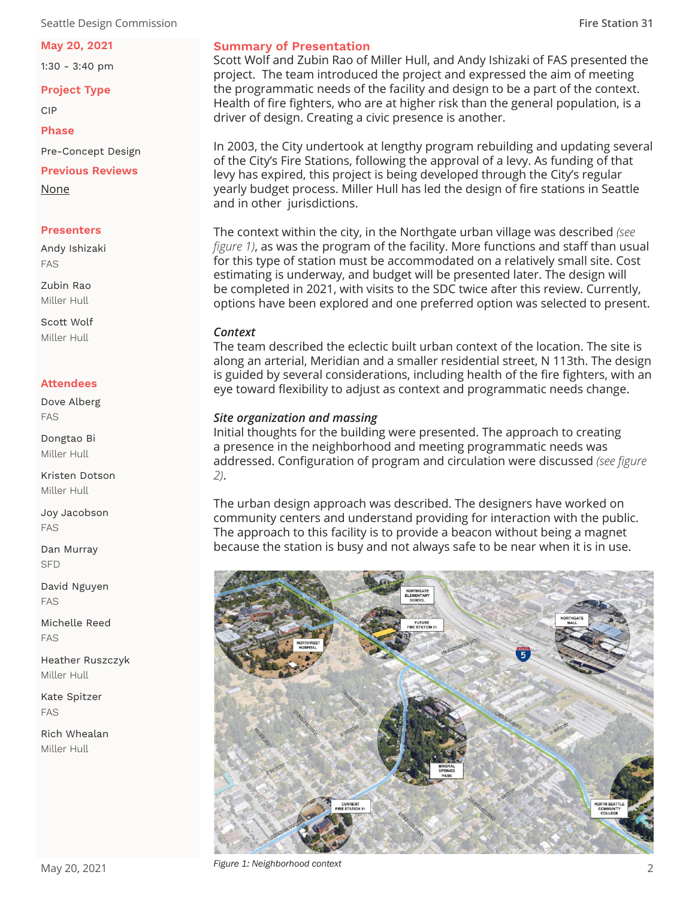Seattle Design Commission **Fire Station 31**

#### **May 20, 2021**

1:30 - 3:40 pm

**Project Type**

CIP

**Phase**

Pre-Concept Design

**Previous Reviews**

None

#### **Presenters**

Andy Ishizaki FAS

Zubin Rao Miller Hull

Scott Wolf Miller Hull

## **Attendees**

Dove Alberg FAS

Dongtao Bi Miller Hull

Kristen Dotson Miller Hull

Joy Jacobson FAS

Dan Murray SFD

David Nguyen FAS

Michelle Reed FAS

Heather Ruszczyk Miller Hull

Kate Spitzer FAS

Rich Whealan Miller Hull

## **Summary of Presentation**

Scott Wolf and Zubin Rao of Miller Hull, and Andy Ishizaki of FAS presented the project. The team introduced the project and expressed the aim of meeting the programmatic needs of the facility and design to be a part of the context. Health of fire fighters, who are at higher risk than the general population, is a driver of design. Creating a civic presence is another.

In 2003, the City undertook at lengthy program rebuilding and updating several of the City's Fire Stations, following the approval of a levy. As funding of that levy has expired, this project is being developed through the City's regular yearly budget process. Miller Hull has led the design of fire stations in Seattle and in other jurisdictions.

The context within the city, in the Northgate urban village was described *(see figure 1)*, as was the program of the facility. More functions and staff than usual for this type of station must be accommodated on a relatively small site. Cost estimating is underway, and budget will be presented later. The design will be completed in 2021, with visits to the SDC twice after this review. Currently, options have been explored and one preferred option was selected to present.

#### *Context*

The team described the eclectic built urban context of the location. The site is along an arterial, Meridian and a smaller residential street, N 113th. The design is guided by several considerations, including health of the fire fighters, with an eye toward flexibility to adjust as context and programmatic needs change.

## *Site organization and massing*

Initial thoughts for the building were presented. The approach to creating a presence in the neighborhood and meeting programmatic needs was addressed. Configuration of program and circulation were discussed *(see figure 2)*.

The urban design approach was described. The designers have worked on community centers and understand providing for interaction with the public. The approach to this facility is to provide a beacon without being a magnet because the station is busy and not always safe to be near when it is in use.



*Figure 1: Neighborhood context*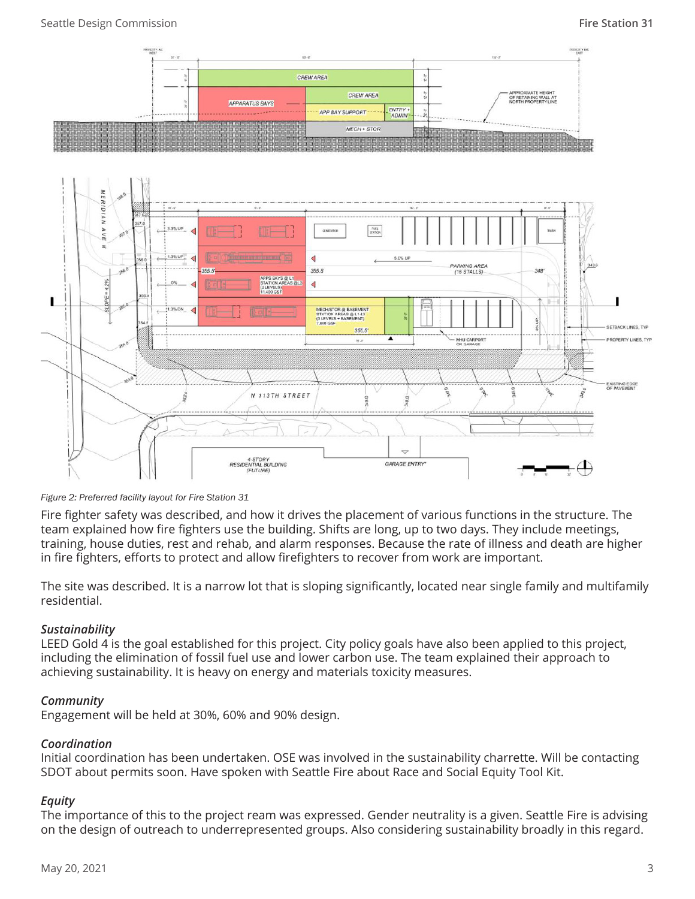

*Figure 2: Preferred facility layout for Fire Station 31*

Fire fighter safety was described, and how it drives the placement of various functions in the structure. The team explained how fire fighters use the building. Shifts are long, up to two days. They include meetings, training, house duties, rest and rehab, and alarm responses. Because the rate of illness and death are higher in fire fighters, efforts to protect and allow firefighters to recover from work are important.

The site was described. It is a narrow lot that is sloping significantly, located near single family and multifamily residential.

# *Sustainability*

LEED Gold 4 is the goal established for this project. City policy goals have also been applied to this project, including the elimination of fossil fuel use and lower carbon use. The team explained their approach to achieving sustainability. It is heavy on energy and materials toxicity measures.

# *Community*

Engagement will be held at 30%, 60% and 90% design.

# *Coordination*

Initial coordination has been undertaken. OSE was involved in the sustainability charrette. Will be contacting SDOT about permits soon. Have spoken with Seattle Fire about Race and Social Equity Tool Kit.

# *Equity*

The importance of this to the project ream was expressed. Gender neutrality is a given. Seattle Fire is advising on the design of outreach to underrepresented groups. Also considering sustainability broadly in this regard.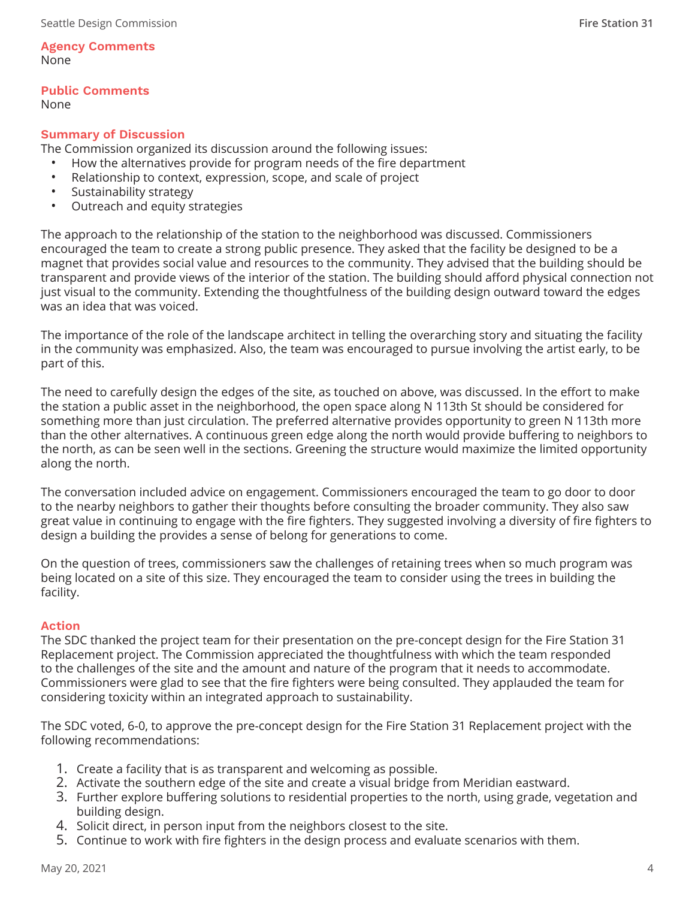#### **Agency Comments**  None

# **Public Comments**

None

# **Summary of Discussion**

The Commission organized its discussion around the following issues:

- How the alternatives provide for program needs of the fire department
- Relationship to context, expression, scope, and scale of project
- Sustainability strategy
- Outreach and equity strategies

The approach to the relationship of the station to the neighborhood was discussed. Commissioners encouraged the team to create a strong public presence. They asked that the facility be designed to be a magnet that provides social value and resources to the community. They advised that the building should be transparent and provide views of the interior of the station. The building should afford physical connection not just visual to the community. Extending the thoughtfulness of the building design outward toward the edges was an idea that was voiced.

The importance of the role of the landscape architect in telling the overarching story and situating the facility in the community was emphasized. Also, the team was encouraged to pursue involving the artist early, to be part of this.

The need to carefully design the edges of the site, as touched on above, was discussed. In the effort to make the station a public asset in the neighborhood, the open space along N 113th St should be considered for something more than just circulation. The preferred alternative provides opportunity to green N 113th more than the other alternatives. A continuous green edge along the north would provide buffering to neighbors to the north, as can be seen well in the sections. Greening the structure would maximize the limited opportunity along the north.

The conversation included advice on engagement. Commissioners encouraged the team to go door to door to the nearby neighbors to gather their thoughts before consulting the broader community. They also saw great value in continuing to engage with the fire fighters. They suggested involving a diversity of fire fighters to design a building the provides a sense of belong for generations to come.

On the question of trees, commissioners saw the challenges of retaining trees when so much program was being located on a site of this size. They encouraged the team to consider using the trees in building the facility.

## **Action**

The SDC thanked the project team for their presentation on the pre-concept design for the Fire Station 31 Replacement project. The Commission appreciated the thoughtfulness with which the team responded to the challenges of the site and the amount and nature of the program that it needs to accommodate. Commissioners were glad to see that the fire fighters were being consulted. They applauded the team for considering toxicity within an integrated approach to sustainability.

The SDC voted, 6-0, to approve the pre-concept design for the Fire Station 31 Replacement project with the following recommendations:

- 1. Create a facility that is as transparent and welcoming as possible.
- 2. Activate the southern edge of the site and create a visual bridge from Meridian eastward.
- 3. Further explore buffering solutions to residential properties to the north, using grade, vegetation and building design.
- 4. Solicit direct, in person input from the neighbors closest to the site.
- 5. Continue to work with fire fighters in the design process and evaluate scenarios with them.